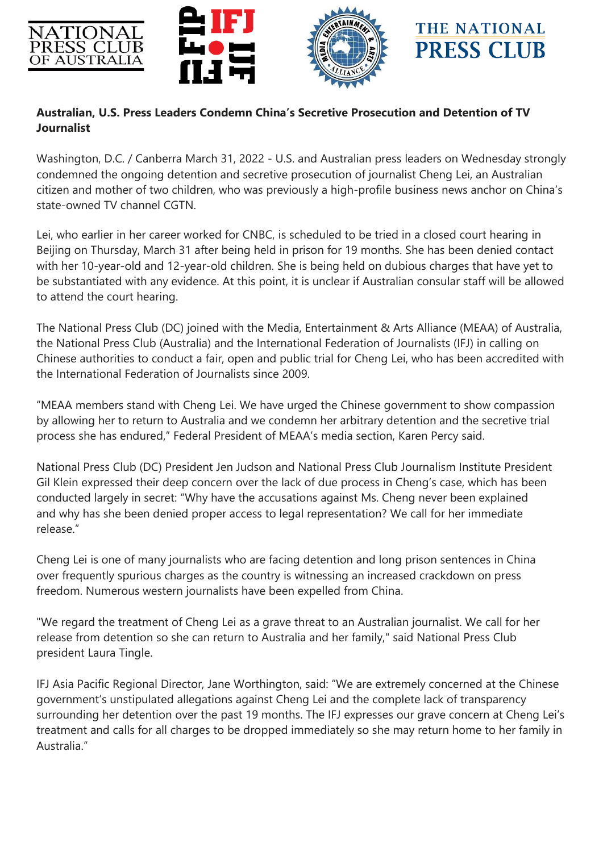

## **Australian, U.S. Press Leaders Condemn China's Secretive Prosecution and Detention of TV Journalist**

Washington, D.C. / Canberra March 31, 2022 - U.S. and Australian press leaders on Wednesday strongly condemned the ongoing detention and secretive prosecution of journalist Cheng Lei, an Australian citizen and mother of two children, who was previously a high-profile business news anchor on China's state-owned TV channel CGTN.

Lei, who earlier in her career worked for CNBC, is scheduled to be tried in a closed court hearing in Beijing on Thursday, March 31 after being held in prison for 19 months. She has been denied contact with her 10-year-old and 12-year-old children. She is being held on dubious charges that have yet to be substantiated with any evidence. At this point, it is unclear if Australian consular staff will be allowed to attend the court hearing.

The National Press Club (DC) joined with the Media, Entertainment & Arts Alliance (MEAA) of Australia, the National Press Club (Australia) and the International Federation of Journalists (IFJ) in calling on Chinese authorities to conduct a fair, open and public trial for Cheng Lei, who has been accredited with the International Federation of Journalists since 2009.

"MEAA members stand with Cheng Lei. We have urged the Chinese government to show compassion by allowing her to return to Australia and we condemn her arbitrary detention and the secretive trial process she has endured," Federal President of MEAA's media section, Karen Percy said.

National Press Club (DC) President Jen Judson and National Press Club Journalism Institute President Gil Klein expressed their deep concern over the lack of due process in Cheng's case, which has been conducted largely in secret: "Why have the accusations against Ms. Cheng never been explained and why has she been denied proper access to legal representation? We call for her immediate release."

Cheng Lei is one of many journalists who are facing detention and long prison sentences in China over frequently spurious charges as the country is witnessing an increased crackdown on press freedom. Numerous western journalists have been expelled from China.

"We regard the treatment of Cheng Lei as a grave threat to an Australian journalist. We call for her release from detention so she can return to Australia and her family," said National Press Club president Laura Tingle.

IFJ Asia Pacific Regional Director, Jane Worthington, said: "We are extremely concerned at the Chinese government's unstipulated allegations against Cheng Lei and the complete lack of transparency surrounding her detention over the past 19 months. The IFJ expresses our grave concern at Cheng Lei's treatment and calls for all charges to be dropped immediately so she may return home to her family in Australia."